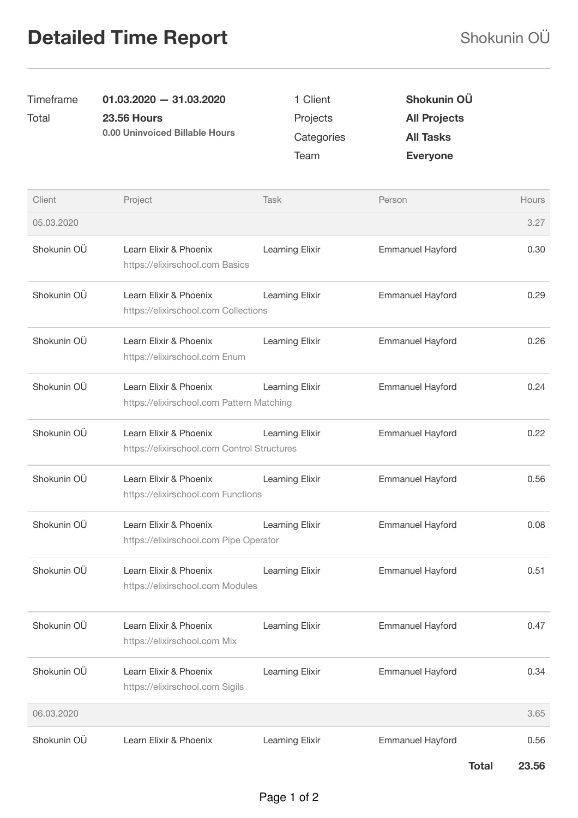## Detailed Time Report Shokunin OÜ

| Timeframe   | $01.03.2020 - 31.03.2020$                                             | 1 Client                       | Shokunin OÜ                                                |       |
|-------------|-----------------------------------------------------------------------|--------------------------------|------------------------------------------------------------|-------|
| Total       | <b>23.56 Hours</b><br>0.00 Uninvoiced Billable Hours                  | Projects<br>Categories<br>Team | <b>All Projects</b><br><b>All Tasks</b><br><b>Everyone</b> |       |
|             |                                                                       |                                |                                                            |       |
|             |                                                                       |                                |                                                            |       |
| Client      | Project                                                               | Task                           | Person                                                     | Hours |
| 05.03.2020  |                                                                       |                                |                                                            | 3.27  |
| Shokunin OÜ | Learn Elixir & Phoenix<br>https://elixirschool.com Basics             | Learning Elixir                | <b>Emmanuel Hayford</b>                                    | 0.30  |
| Shokunin OÜ | Learn Elixir & Phoenix<br>https://elixirschool.com Collections        | Learning Elixir                | <b>Emmanuel Hayford</b>                                    | 0.29  |
| Shokunin OÜ | Learn Elixir & Phoenix<br>https://elixirschool.com Enum               | Learning Elixir                | <b>Emmanuel Hayford</b>                                    | 0.26  |
| Shokunin OÜ | Learn Elixir & Phoenix<br>https://elixirschool.com Pattern Matching   | Learning Elixir                | <b>Emmanuel Hayford</b>                                    | 0.24  |
| Shokunin OÜ | Learn Elixir & Phoenix<br>https://elixirschool.com Control Structures | Learning Elixir                | <b>Emmanuel Hayford</b>                                    | 0.22  |
| Shokunin OÜ | Learn Elixir & Phoenix<br>https://elixirschool.com Functions          | Learning Elixir                | <b>Emmanuel Hayford</b>                                    | 0.56  |
| Shokunin OÜ | Learn Elixir & Phoenix<br>https://elixirschool.com Pipe Operator      | Learning Elixir                | <b>Emmanuel Hayford</b>                                    | 0.08  |
| Shokunin OÜ | Learn Elixir & Phoenix<br>https://elixirschool.com Modules            | Learning Elixir                | <b>Emmanuel Hayford</b>                                    | 0.51  |
| Shokunin OÜ | Learn Elixir & Phoenix<br>https://elixirschool.com Mix                | Learning Elixir                | <b>Emmanuel Hayford</b>                                    | 0.47  |
| Shokunin OÜ | Learn Elixir & Phoenix<br>https://elixirschool.com Sigils             | Learning Elixir                | <b>Emmanuel Hayford</b>                                    | 0.34  |
| 06.03.2020  |                                                                       |                                |                                                            | 3.65  |
| Shokunin OÜ | Learn Elixir & Phoenix                                                | Learning Elixir                | <b>Emmanuel Hayford</b>                                    | 0.56  |

Total 23.56